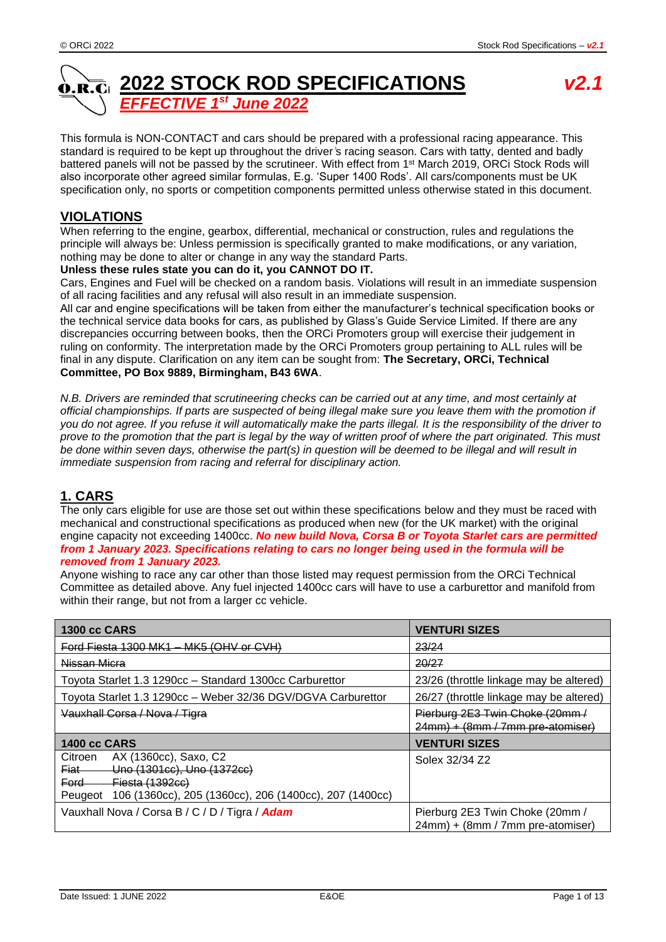#### **2022 STOCK ROD SPECIFICATIONS** *v2.1* Ó.R.Ci *st June 2022 EFFECTIVE 1*

This formula is NON-CONTACT and cars should be prepared with a professional racing appearance. This standard is required to be kept up throughout the driver*'*s racing season. Cars with tatty, dented and badly battered panels will not be passed by the scrutineer. With effect from 1<sup>st</sup> March 2019, ORCi Stock Rods will also incorporate other agreed similar formulas, E.g. 'Super 1400 Rods'. All cars/components must be UK specification only, no sports or competition components permitted unless otherwise stated in this document.

## **VIOLATIONS**

When referring to the engine, gearbox, differential, mechanical or construction, rules and regulations the principle will always be: Unless permission is specifically granted to make modifications, or any variation, nothing may be done to alter or change in any way the standard Parts.

#### **Unless these rules state you can do it, you CANNOT DO IT.**

Cars, Engines and Fuel will be checked on a random basis. Violations will result in an immediate suspension of all racing facilities and any refusal will also result in an immediate suspension.

All car and engine specifications will be taken from either the manufacturer's technical specification books or the technical service data books for cars, as published by Glass's Guide Service Limited. If there are any discrepancies occurring between books, then the ORCi Promoters group will exercise their judgement in ruling on conformity. The interpretation made by the ORCi Promoters group pertaining to ALL rules will be final in any dispute. Clarification on any item can be sought from: **The Secretary, ORCi, Technical Committee, PO Box 9889, Birmingham, B43 6WA**.

*N.B. Drivers are reminded that scrutineering checks can be carried out at any time, and most certainly at official championships. If parts are suspected of being illegal make sure you leave them with the promotion if you do not agree. If you refuse it will automatically make the parts illegal. It is the responsibility of the driver to prove to the promotion that the part is legal by the way of written proof of where the part originated. This must be done within seven days, otherwise the part(s) in question will be deemed to be illegal and will result in immediate suspension from racing and referral for disciplinary action.*

# **1. CARS**

The only cars eligible for use are those set out within these specifications below and they must be raced with mechanical and constructional specifications as produced when new (for the UK market) with the original engine capacity not exceeding 1400cc. *No new build Nova, Corsa B or Toyota Starlet cars are permitted from 1 January 2023. Specifications relating to cars no longer being used in the formula will be removed from 1 January 2023.*

Anyone wishing to race any car other than those listed may request permission from the ORCi Technical Committee as detailed above. Any fuel injected 1400cc cars will have to use a carburettor and manifold from within their range, but not from a larger cc vehicle.

| <b>1300 cc CARS</b>                                                                                                                                                                   | <b>VENTURI SIZES</b>                                                |  |  |
|---------------------------------------------------------------------------------------------------------------------------------------------------------------------------------------|---------------------------------------------------------------------|--|--|
| Ford Fiesta 1300 MK1 - MK5 (OHV or CVH)                                                                                                                                               | 23/24                                                               |  |  |
| Nissan Micra                                                                                                                                                                          | 20/27                                                               |  |  |
| Toyota Starlet 1.3 1290cc - Standard 1300cc Carburettor                                                                                                                               | 23/26 (throttle linkage may be altered)                             |  |  |
| Toyota Starlet 1.3 1290cc - Weber 32/36 DGV/DGVA Carburettor                                                                                                                          | 26/27 (throttle linkage may be altered)                             |  |  |
| Vauxhall Corsa / Nova / Tigra                                                                                                                                                         | Pierburg 2E3 Twin Choke (20mm /<br>24mm) + (8mm / 7mm pre-atomiser) |  |  |
| <b>1400 cc CARS</b>                                                                                                                                                                   | <b>VENTURI SIZES</b>                                                |  |  |
| AX (1360cc), Saxo, C2<br>Citroen<br>Uno (1301cc), Uno (1372cc)<br><del>Fiat</del><br><b>Fiesta (1392cc)</b><br>Ford<br>Peugeot 106 (1360cc), 205 (1360cc), 206 (1400cc), 207 (1400cc) | Solex 32/34 Z2                                                      |  |  |
| Vauxhall Nova / Corsa B / C / D / Tigra / Adam                                                                                                                                        | Pierburg 2E3 Twin Choke (20mm /<br>24mm) + (8mm / 7mm pre-atomiser) |  |  |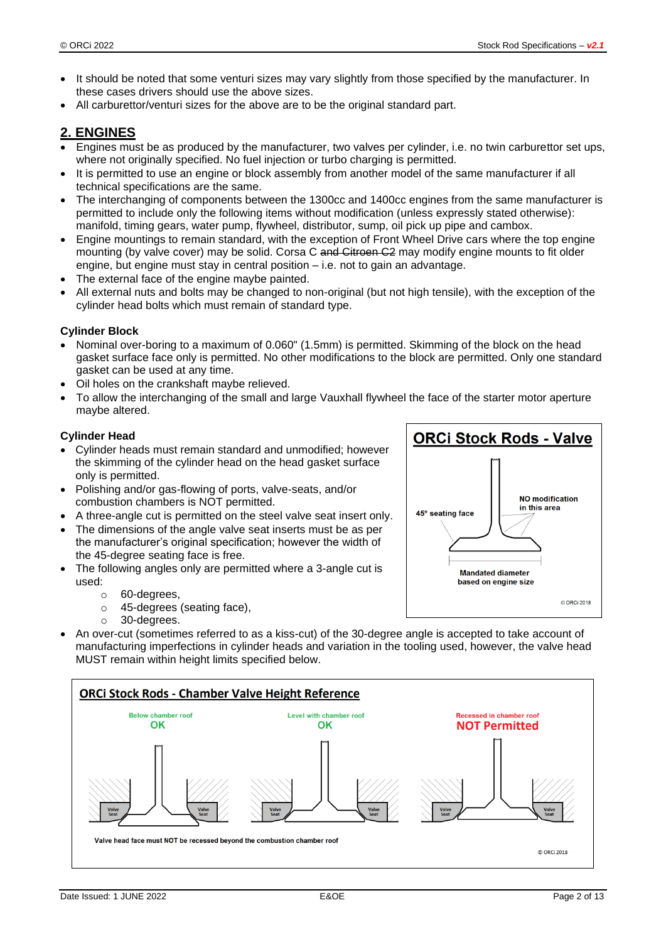- It should be noted that some venturi sizes may vary slightly from those specified by the manufacturer. In these cases drivers should use the above sizes.
- All carburettor/venturi sizes for the above are to be the original standard part.

### **2. ENGINES**

- Engines must be as produced by the manufacturer, two valves per cylinder, i.e. no twin carburettor set ups, where not originally specified. No fuel injection or turbo charging is permitted.
- It is permitted to use an engine or block assembly from another model of the same manufacturer if all technical specifications are the same.
- The interchanging of components between the 1300cc and 1400cc engines from the same manufacturer is permitted to include only the following items without modification (unless expressly stated otherwise): manifold, timing gears, water pump, flywheel, distributor, sump, oil pick up pipe and cambox.
- Engine mountings to remain standard, with the exception of Front Wheel Drive cars where the top engine mounting (by valve cover) may be solid. Corsa C and Citroen C2 may modify engine mounts to fit older engine, but engine must stay in central position – i.e. not to gain an advantage.
- The external face of the engine maybe painted.
- All external nuts and bolts may be changed to non-original (but not high tensile), with the exception of the cylinder head bolts which must remain of standard type.

#### **Cylinder Block**

- Nominal over-boring to a maximum of 0.060" (1.5mm) is permitted. Skimming of the block on the head gasket surface face only is permitted. No other modifications to the block are permitted. Only one standard gasket can be used at any time.
- Oil holes on the crankshaft maybe relieved.
- To allow the interchanging of the small and large Vauxhall flywheel the face of the starter motor aperture maybe altered.

#### **Cylinder Head**

- Cylinder heads must remain standard and unmodified; however the skimming of the cylinder head on the head gasket surface only is permitted.
- Polishing and/or gas-flowing of ports, valve-seats, and/or combustion chambers is NOT permitted.
- A three-angle cut is permitted on the steel valve seat insert only.
- The dimensions of the angle valve seat inserts must be as per the manufacturer's original specification; however the width of the 45-degree seating face is free.
- The following angles only are permitted where a 3-angle cut is used:
	- o 60-degrees,
	- o 45-degrees (seating face),
	- o 30-degrees.
- An over-cut (sometimes referred to as a kiss-cut) of the 30-degree angle is accepted to take account of manufacturing imperfections in cylinder heads and variation in the tooling used, however, the valve head MUST remain within height limits specified below.



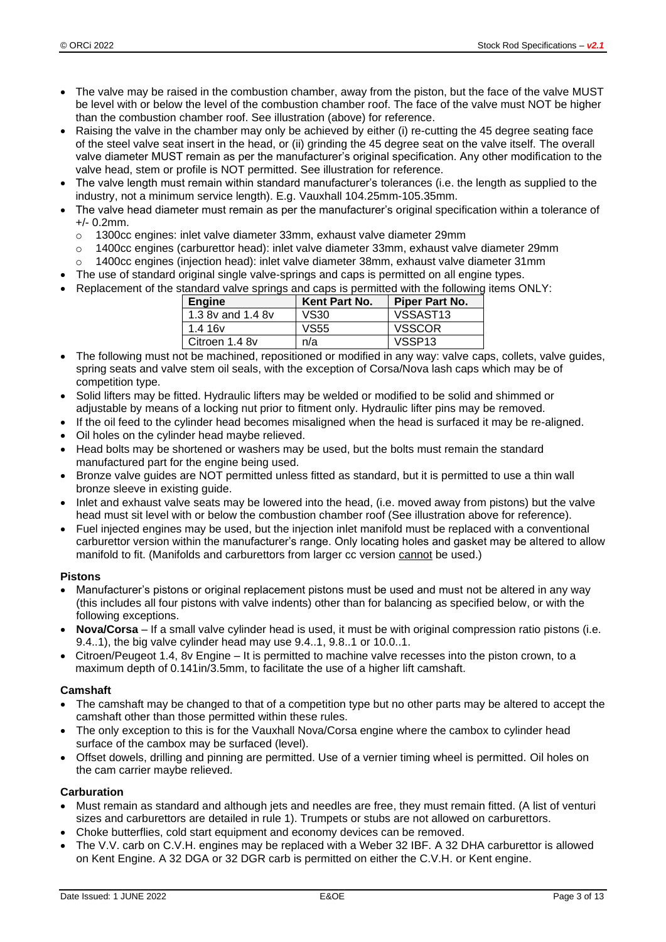- The valve may be raised in the combustion chamber, away from the piston, but the face of the valve MUST be level with or below the level of the combustion chamber roof. The face of the valve must NOT be higher than the combustion chamber roof. See illustration (above) for reference.
- Raising the valve in the chamber may only be achieved by either (i) re-cutting the 45 degree seating face of the steel valve seat insert in the head, or (ii) grinding the 45 degree seat on the valve itself. The overall valve diameter MUST remain as per the manufacturer's original specification. Any other modification to the valve head, stem or profile is NOT permitted. See illustration for reference.
- The valve length must remain within standard manufacturer's tolerances (i.e. the length as supplied to the industry, not a minimum service length). E.g. Vauxhall 104.25mm-105.35mm.
- The valve head diameter must remain as per the manufacturer's original specification within a tolerance of +/- 0.2mm.
	- $\circ$  1300cc engines: inlet valve diameter 33mm, exhaust valve diameter 29mm
	- o 1400cc engines (carburettor head): inlet valve diameter 33mm, exhaust valve diameter 29mm
	- 1400cc engines (injection head): inlet valve diameter 38mm, exhaust valve diameter 31mm
- The use of standard original single valve-springs and caps is permitted on all engine types.
- Replacement of the standard valve springs and caps is permitted with the following items ONLY:

| Engine              | Kent Part No. | Piper Part No.       |
|---------------------|---------------|----------------------|
| 1.3 8v and 1.4 8v   | VS30          | VSSAST <sub>13</sub> |
| 1.4 16 <sub>V</sub> | VS55          | <b>VSSCOR</b>        |
| Citroen 1.4 8v      | n/a           | VSSP <sub>13</sub>   |

- The following must not be machined, repositioned or modified in any way: valve caps, collets, valve guides, spring seats and valve stem oil seals, with the exception of Corsa/Nova lash caps which may be of competition type.
- Solid lifters may be fitted. Hydraulic lifters may be welded or modified to be solid and shimmed or adjustable by means of a locking nut prior to fitment only. Hydraulic lifter pins may be removed.
- If the oil feed to the cylinder head becomes misaligned when the head is surfaced it may be re-aligned.
- Oil holes on the cylinder head maybe relieved.
- Head bolts may be shortened or washers may be used, but the bolts must remain the standard manufactured part for the engine being used.
- Bronze valve guides are NOT permitted unless fitted as standard, but it is permitted to use a thin wall bronze sleeve in existing guide.
- Inlet and exhaust valve seats may be lowered into the head, (i.e. moved away from pistons) but the valve head must sit level with or below the combustion chamber roof (See illustration above for reference).
- Fuel injected engines may be used, but the injection inlet manifold must be replaced with a conventional carburettor version within the manufacturer's range. Only locating holes and gasket may be altered to allow manifold to fit. (Manifolds and carburettors from larger cc version cannot be used.)

#### **Pistons**

- Manufacturer's pistons or original replacement pistons must be used and must not be altered in any way (this includes all four pistons with valve indents) other than for balancing as specified below, or with the following exceptions.
- **Nova/Corsa** If a small valve cylinder head is used, it must be with original compression ratio pistons (i.e. 9.4..1), the big valve cylinder head may use 9.4..1, 9.8..1 or 10.0..1.
- Citroen/Peugeot 1.4, 8v Engine It is permitted to machine valve recesses into the piston crown, to a maximum depth of 0.141in/3.5mm, to facilitate the use of a higher lift camshaft.

#### **Camshaft**

- The camshaft may be changed to that of a competition type but no other parts may be altered to accept the camshaft other than those permitted within these rules.
- The only exception to this is for the Vauxhall Nova/Corsa engine where the cambox to cylinder head surface of the cambox may be surfaced (level).
- Offset dowels, drilling and pinning are permitted. Use of a vernier timing wheel is permitted. Oil holes on the cam carrier maybe relieved.

#### **Carburation**

- Must remain as standard and although jets and needles are free, they must remain fitted. (A list of venturi sizes and carburettors are detailed in rule 1). Trumpets or stubs are not allowed on carburettors.
- Choke butterflies, cold start equipment and economy devices can be removed.
- The V.V. carb on C.V.H. engines may be replaced with a Weber 32 IBF. A 32 DHA carburettor is allowed on Kent Engine. A 32 DGA or 32 DGR carb is permitted on either the C.V.H. or Kent engine.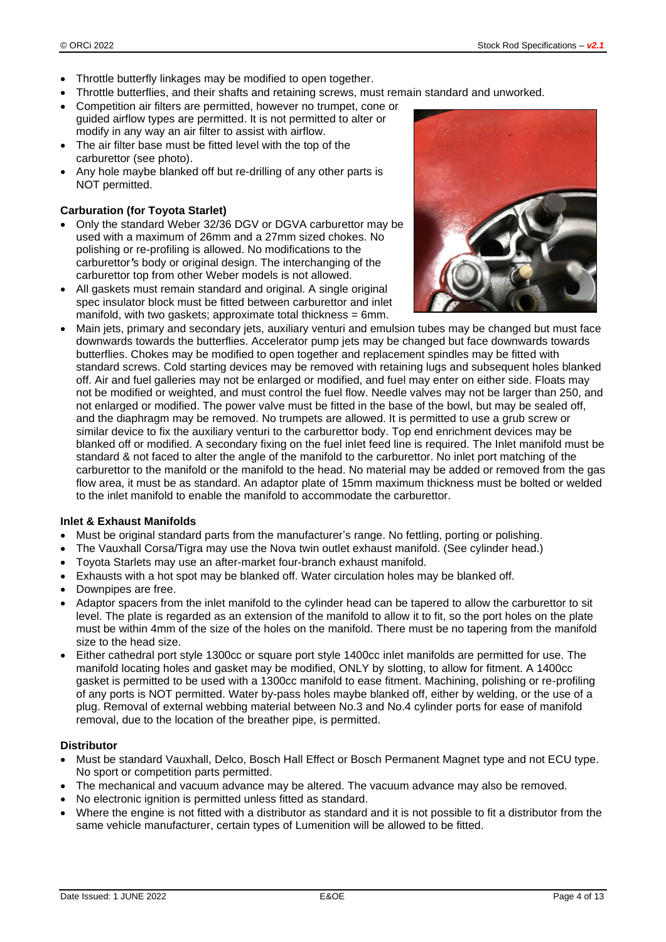- Throttle butterfly linkages may be modified to open together.
- Throttle butterflies, and their shafts and retaining screws, must remain standard and unworked.
- Competition air filters are permitted, however no trumpet, cone or guided airflow types are permitted. It is not permitted to alter or modify in any way an air filter to assist with airflow.
- The air filter base must be fitted level with the top of the carburettor (see photo).
- Any hole maybe blanked off but re-drilling of any other parts is NOT permitted.

#### **Carburation (for Toyota Starlet)**

- Only the standard Weber 32/36 DGV or DGVA carburettor may be used with a maximum of 26mm and a 27mm sized chokes. No polishing or re-profiling is allowed. No modifications to the carburettor*'*s body or original design. The interchanging of the carburettor top from other Weber models is not allowed.
- All gaskets must remain standard and original. A single original spec insulator block must be fitted between carburettor and inlet manifold, with two gaskets; approximate total thickness = 6mm.



• Main jets, primary and secondary jets, auxiliary venturi and emulsion tubes may be changed but must face downwards towards the butterflies. Accelerator pump jets may be changed but face downwards towards butterflies. Chokes may be modified to open together and replacement spindles may be fitted with standard screws. Cold starting devices may be removed with retaining lugs and subsequent holes blanked off. Air and fuel galleries may not be enlarged or modified, and fuel may enter on either side. Floats may not be modified or weighted, and must control the fuel flow. Needle valves may not be larger than 250, and not enlarged or modified. The power valve must be fitted in the base of the bowl, but may be sealed off, and the diaphragm may be removed. No trumpets are allowed. It is permitted to use a grub screw or similar device to fix the auxiliary venturi to the carburettor body. Top end enrichment devices may be blanked off or modified. A secondary fixing on the fuel inlet feed line is required. The Inlet manifold must be standard & not faced to alter the angle of the manifold to the carburettor. No inlet port matching of the carburettor to the manifold or the manifold to the head. No material may be added or removed from the gas flow area, it must be as standard. An adaptor plate of 15mm maximum thickness must be bolted or welded to the inlet manifold to enable the manifold to accommodate the carburettor.

#### **Inlet & Exhaust Manifolds**

- Must be original standard parts from the manufacturer's range. No fettling, porting or polishing.
- The Vauxhall Corsa/Tigra may use the Nova twin outlet exhaust manifold. (See cylinder head.)
- Toyota Starlets may use an after-market four-branch exhaust manifold.
- Exhausts with a hot spot may be blanked off. Water circulation holes may be blanked off.
- Downpipes are free.
- Adaptor spacers from the inlet manifold to the cylinder head can be tapered to allow the carburettor to sit level. The plate is regarded as an extension of the manifold to allow it to fit, so the port holes on the plate must be within 4mm of the size of the holes on the manifold. There must be no tapering from the manifold size to the head size.
- Either cathedral port style 1300cc or square port style 1400cc inlet manifolds are permitted for use. The manifold locating holes and gasket may be modified, ONLY by slotting, to allow for fitment. A 1400cc gasket is permitted to be used with a 1300cc manifold to ease fitment. Machining, polishing or re-profiling of any ports is NOT permitted. Water by-pass holes maybe blanked off, either by welding, or the use of a plug. Removal of external webbing material between No.3 and No.4 cylinder ports for ease of manifold removal, due to the location of the breather pipe, is permitted.

#### **Distributor**

- Must be standard Vauxhall, Delco, Bosch Hall Effect or Bosch Permanent Magnet type and not ECU type. No sport or competition parts permitted.
- The mechanical and vacuum advance may be altered. The vacuum advance may also be removed.
- No electronic ignition is permitted unless fitted as standard.
- Where the engine is not fitted with a distributor as standard and it is not possible to fit a distributor from the same vehicle manufacturer, certain types of Lumenition will be allowed to be fitted.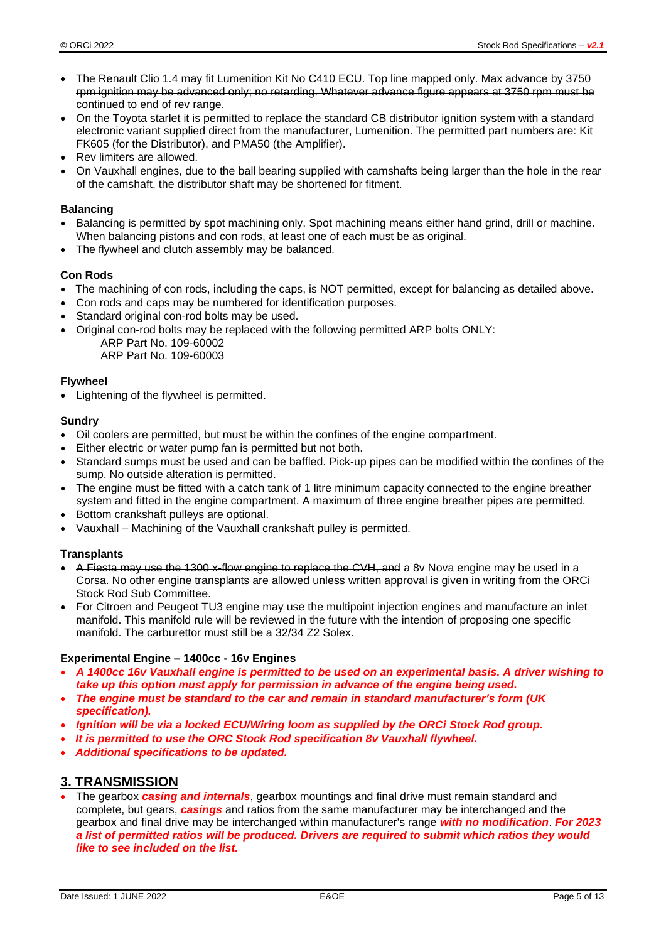- The Renault Clio 1.4 may fit Lumenition Kit No C410 ECU. Top line mapped only. Max advance by 3750 rpm ignition may be advanced only; no retarding. Whatever advance figure appears at 3750 rpm must be continued to end of rev range.
- On the Toyota starlet it is permitted to replace the standard CB distributor ignition system with a standard electronic variant supplied direct from the manufacturer, Lumenition. The permitted part numbers are: Kit FK605 (for the Distributor), and PMA50 (the Amplifier).
- Rev limiters are allowed.
- On Vauxhall engines, due to the ball bearing supplied with camshafts being larger than the hole in the rear of the camshaft, the distributor shaft may be shortened for fitment.

#### **Balancing**

- Balancing is permitted by spot machining only. Spot machining means either hand grind, drill or machine. When balancing pistons and con rods, at least one of each must be as original.
- The flywheel and clutch assembly may be balanced.

#### **Con Rods**

- The machining of con rods, including the caps, is NOT permitted, except for balancing as detailed above.
- Con rods and caps may be numbered for identification purposes.
- Standard original con-rod bolts may be used.
- Original con-rod bolts may be replaced with the following permitted ARP bolts ONLY: ARP Part No. 109-60002 ARP Part No. 109-60003

#### **Flywheel**

• Lightening of the flywheel is permitted.

#### **Sundry**

- Oil coolers are permitted, but must be within the confines of the engine compartment.
- Either electric or water pump fan is permitted but not both.
- Standard sumps must be used and can be baffled. Pick-up pipes can be modified within the confines of the sump. No outside alteration is permitted.
- The engine must be fitted with a catch tank of 1 litre minimum capacity connected to the engine breather system and fitted in the engine compartment. A maximum of three engine breather pipes are permitted.
- Bottom crankshaft pulleys are optional.
- Vauxhall Machining of the Vauxhall crankshaft pulley is permitted.

#### **Transplants**

- A Fiesta may use the 1300 x-flow engine to replace the CVH, and a 8v Nova engine may be used in a Corsa. No other engine transplants are allowed unless written approval is given in writing from the ORCi Stock Rod Sub Committee.
- For Citroen and Peugeot TU3 engine may use the multipoint injection engines and manufacture an inlet manifold. This manifold rule will be reviewed in the future with the intention of proposing one specific manifold. The carburettor must still be a 32/34 Z2 Solex.

#### **Experimental Engine – 1400cc - 16v Engines**

- *A 1400cc 16v Vauxhall engine is permitted to be used on an experimental basis. A driver wishing to take up this option must apply for permission in advance of the engine being used.*
- *The engine must be standard to the car and remain in standard manufacturer's form (UK specification).*
- *Ignition will be via a locked ECU/Wiring loom as supplied by the ORCi Stock Rod group.*
- *It is permitted to use the ORC Stock Rod specification 8v Vauxhall flywheel.*
- *Additional specifications to be updated.*

#### **3. TRANSMISSION**

• The gearbox *casing and internals*, gearbox mountings and final drive must remain standard and complete, but gears, *casings* and ratios from the same manufacturer may be interchanged and the gearbox and final drive may be interchanged within manufacturer's range *with no modification*. *For 2023 a list of permitted ratios will be produced. Drivers are required to submit which ratios they would like to see included on the list.*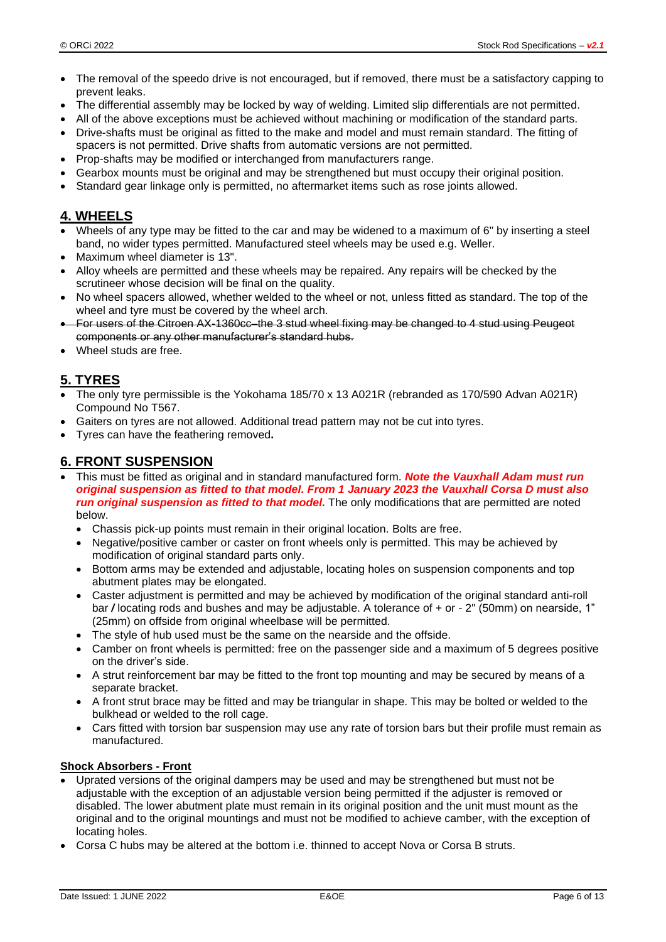- The removal of the speedo drive is not encouraged, but if removed, there must be a satisfactory capping to prevent leaks.
- The differential assembly may be locked by way of welding. Limited slip differentials are not permitted.
- All of the above exceptions must be achieved without machining or modification of the standard parts.
- Drive-shafts must be original as fitted to the make and model and must remain standard. The fitting of spacers is not permitted. Drive shafts from automatic versions are not permitted.
- Prop-shafts may be modified or interchanged from manufacturers range.
- Gearbox mounts must be original and may be strengthened but must occupy their original position.
- Standard gear linkage only is permitted, no aftermarket items such as rose joints allowed.

### **4. WHEELS**

- Wheels of any type may be fitted to the car and may be widened to a maximum of 6" by inserting a steel band, no wider types permitted. Manufactured steel wheels may be used e.g. Weller.
- Maximum wheel diameter is 13".
- Alloy wheels are permitted and these wheels may be repaired. Any repairs will be checked by the scrutineer whose decision will be final on the quality.
- No wheel spacers allowed, whether welded to the wheel or not, unless fitted as standard. The top of the wheel and tyre must be covered by the wheel arch.
- For users of the Citroen AX-1360cc–the 3 stud wheel fixing may be changed to 4 stud using Peugeot components or any other manufacturer's standard hubs.
- Wheel studs are free.

### **5. TYRES**

- The only tyre permissible is the Yokohama 185/70 x 13 A021R (rebranded as 170/590 Advan A021R) Compound No T567.
- Gaiters on tyres are not allowed. Additional tread pattern may not be cut into tyres.
- Tyres can have the feathering removed**.**

### **6. FRONT SUSPENSION**

- This must be fitted as original and in standard manufactured form. *Note the Vauxhall Adam must run original suspension as fitted to that model. From 1 January 2023 the Vauxhall Corsa D must also run original suspension as fitted to that model.* The only modifications that are permitted are noted below.
	- Chassis pick-up points must remain in their original location. Bolts are free.
	- Negative/positive camber or caster on front wheels only is permitted. This may be achieved by modification of original standard parts only.
	- Bottom arms may be extended and adjustable, locating holes on suspension components and top abutment plates may be elongated.
	- Caster adjustment is permitted and may be achieved by modification of the original standard anti-roll bar */* locating rods and bushes and may be adjustable. A tolerance of + or - 2" (50mm) on nearside, 1" (25mm) on offside from original wheelbase will be permitted.
	- The style of hub used must be the same on the nearside and the offside.
	- Camber on front wheels is permitted: free on the passenger side and a maximum of 5 degrees positive on the driver's side.
	- A strut reinforcement bar may be fitted to the front top mounting and may be secured by means of a separate bracket.
	- A front strut brace may be fitted and may be triangular in shape. This may be bolted or welded to the bulkhead or welded to the roll cage.
	- Cars fitted with torsion bar suspension may use any rate of torsion bars but their profile must remain as manufactured.

#### **Shock Absorbers - Front**

- Uprated versions of the original dampers may be used and may be strengthened but must not be adjustable with the exception of an adjustable version being permitted if the adjuster is removed or disabled. The lower abutment plate must remain in its original position and the unit must mount as the original and to the original mountings and must not be modified to achieve camber, with the exception of locating holes.
- Corsa C hubs may be altered at the bottom i.e. thinned to accept Nova or Corsa B struts.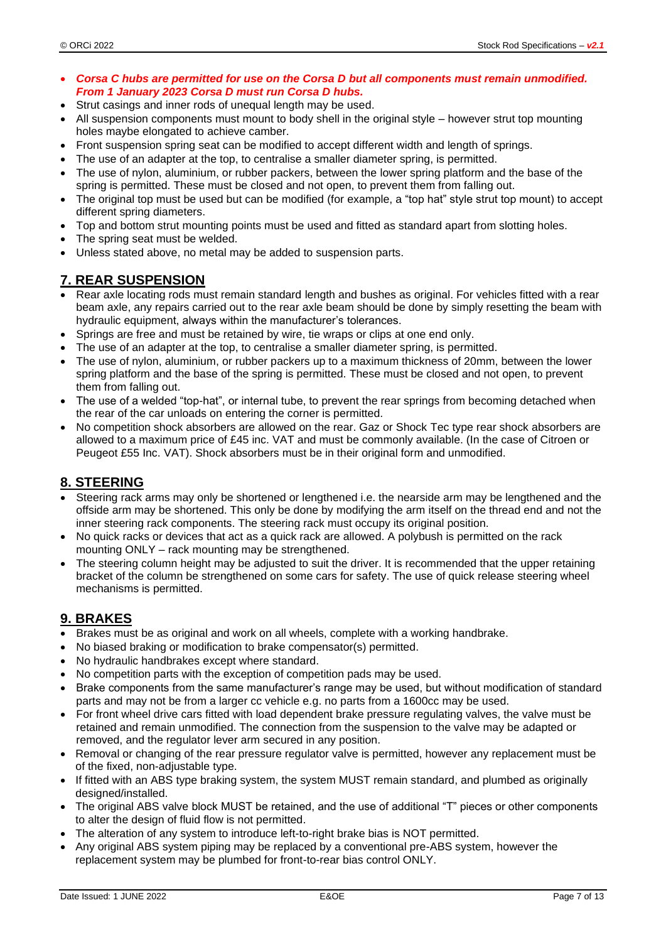- *Corsa C hubs are permitted for use on the Corsa D but all components must remain unmodified. From 1 January 2023 Corsa D must run Corsa D hubs.*
- Strut casings and inner rods of unequal length may be used.
- All suspension components must mount to body shell in the original style however strut top mounting holes maybe elongated to achieve camber.
- Front suspension spring seat can be modified to accept different width and length of springs.
- The use of an adapter at the top, to centralise a smaller diameter spring, is permitted.
- The use of nylon, aluminium, or rubber packers, between the lower spring platform and the base of the spring is permitted. These must be closed and not open, to prevent them from falling out.
- The original top must be used but can be modified (for example, a "top hat" style strut top mount) to accept different spring diameters.
- Top and bottom strut mounting points must be used and fitted as standard apart from slotting holes.
- The spring seat must be welded.
- Unless stated above, no metal may be added to suspension parts.

### **7. REAR SUSPENSION**

- Rear axle locating rods must remain standard length and bushes as original. For vehicles fitted with a rear beam axle, any repairs carried out to the rear axle beam should be done by simply resetting the beam with hydraulic equipment, always within the manufacturer's tolerances.
- Springs are free and must be retained by wire, tie wraps or clips at one end only.
- The use of an adapter at the top, to centralise a smaller diameter spring, is permitted.
- The use of nylon, aluminium, or rubber packers up to a maximum thickness of 20mm, between the lower spring platform and the base of the spring is permitted. These must be closed and not open, to prevent them from falling out.
- The use of a welded "top-hat", or internal tube, to prevent the rear springs from becoming detached when the rear of the car unloads on entering the corner is permitted.
- No competition shock absorbers are allowed on the rear. Gaz or Shock Tec type rear shock absorbers are allowed to a maximum price of £45 inc. VAT and must be commonly available. (In the case of Citroen or Peugeot £55 Inc. VAT). Shock absorbers must be in their original form and unmodified.

### **8. STEERING**

- Steering rack arms may only be shortened or lengthened i.e. the nearside arm may be lengthened and the offside arm may be shortened. This only be done by modifying the arm itself on the thread end and not the inner steering rack components. The steering rack must occupy its original position.
- No quick racks or devices that act as a quick rack are allowed. A polybush is permitted on the rack mounting ONLY – rack mounting may be strengthened.
- The steering column height may be adjusted to suit the driver. It is recommended that the upper retaining bracket of the column be strengthened on some cars for safety. The use of quick release steering wheel mechanisms is permitted.

### **9. BRAKES**

- Brakes must be as original and work on all wheels, complete with a working handbrake.
- No biased braking or modification to brake compensator(s) permitted.
- No hydraulic handbrakes except where standard.
- No competition parts with the exception of competition pads may be used.
- Brake components from the same manufacturer's range may be used, but without modification of standard parts and may not be from a larger cc vehicle e.g. no parts from a 1600cc may be used.
- For front wheel drive cars fitted with load dependent brake pressure regulating valves, the valve must be retained and remain unmodified. The connection from the suspension to the valve may be adapted or removed, and the regulator lever arm secured in any position.
- Removal or changing of the rear pressure regulator valve is permitted, however any replacement must be of the fixed, non-adjustable type.
- If fitted with an ABS type braking system, the system MUST remain standard, and plumbed as originally designed/installed.
- The original ABS valve block MUST be retained, and the use of additional "T" pieces or other components to alter the design of fluid flow is not permitted.
- The alteration of any system to introduce left-to-right brake bias is NOT permitted.
- Any original ABS system piping may be replaced by a conventional pre-ABS system, however the replacement system may be plumbed for front-to-rear bias control ONLY.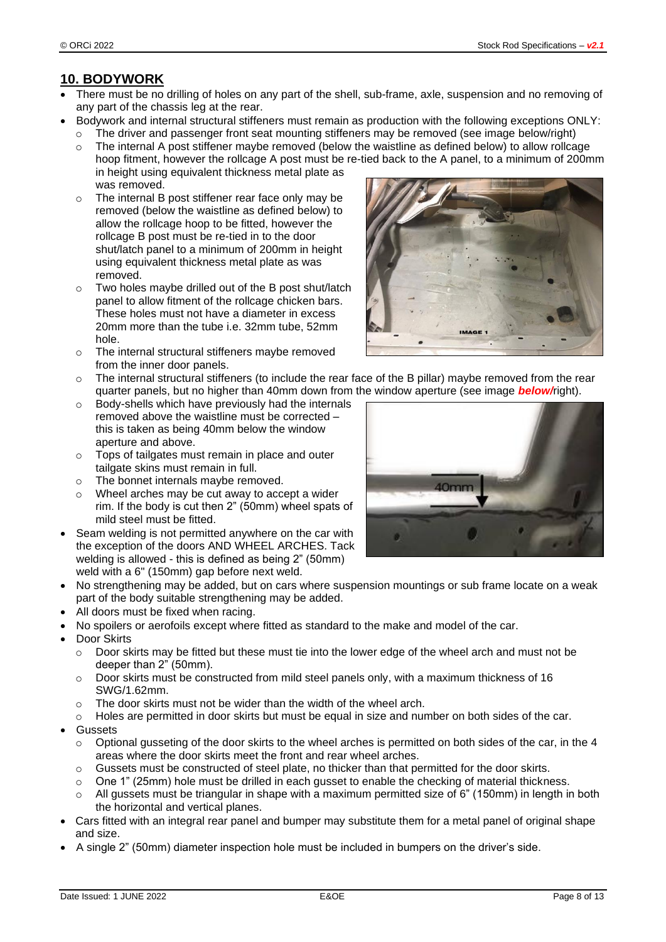# **10. BODYWORK**

- There must be no drilling of holes on any part of the shell, sub-frame, axle, suspension and no removing of any part of the chassis leg at the rear.
- Bodywork and internal structural stiffeners must remain as production with the following exceptions ONLY:
	- o The driver and passenger front seat mounting stiffeners may be removed (see image below/right)
		- $\circ$  The internal A post stiffener maybe removed (below the waistline as defined below) to allow rollcage hoop fitment, however the rollcage A post must be re-tied back to the A panel, to a minimum of 200mm in height using equivalent thickness metal plate as was removed.
		- o The internal B post stiffener rear face only may be removed (below the waistline as defined below) to allow the rollcage hoop to be fitted, however the rollcage B post must be re-tied in to the door shut/latch panel to a minimum of 200mm in height using equivalent thickness metal plate as was removed.
		- o Two holes maybe drilled out of the B post shut/latch panel to allow fitment of the rollcage chicken bars. These holes must not have a diameter in excess 20mm more than the tube i.e. 32mm tube, 52mm hole.
		- $\circ$  The internal structural stiffeners maybe removed from the inner door panels.
		- $\circ$  The internal structural stiffeners (to include the rear face of the B pillar) maybe removed from the rear quarter panels, but no higher than 40mm down from the window aperture (see image *below/*right).
		- o Body-shells which have previously had the internals removed above the waistline must be corrected – this is taken as being 40mm below the window aperture and above.
		- o Tops of tailgates must remain in place and outer tailgate skins must remain in full.
	- o The bonnet internals maybe removed.
	- o Wheel arches may be cut away to accept a wider rim. If the body is cut then 2" (50mm) wheel spats of mild steel must be fitted.
- Seam welding is not permitted anywhere on the car with the exception of the doors AND WHEEL ARCHES. Tack welding is allowed - this is defined as being 2" (50mm) weld with a 6" (150mm) gap before next weld.
- No strengthening may be added, but on cars where suspension mountings or sub frame locate on a weak part of the body suitable strengthening may be added.
- All doors must be fixed when racing.
- No spoilers or aerofoils except where fitted as standard to the make and model of the car.
- Door Skirts
	- $\circ$  Door skirts may be fitted but these must tie into the lower edge of the wheel arch and must not be deeper than 2" (50mm).
	- $\circ$  Door skirts must be constructed from mild steel panels only, with a maximum thickness of 16 SWG/1.62mm.
	- o The door skirts must not be wider than the width of the wheel arch.
	- $\circ$  Holes are permitted in door skirts but must be equal in size and number on both sides of the car.
- **Gussets** 
	- $\circ$  Optional gusseting of the door skirts to the wheel arches is permitted on both sides of the car, in the 4 areas where the door skirts meet the front and rear wheel arches.
	- $\circ$  Gussets must be constructed of steel plate, no thicker than that permitted for the door skirts.
	- $\circ$  One 1" (25mm) hole must be drilled in each gusset to enable the checking of material thickness.
	- $\circ$  All gussets must be triangular in shape with a maximum permitted size of 6" (150mm) in length in both the horizontal and vertical planes.
- Cars fitted with an integral rear panel and bumper may substitute them for a metal panel of original shape and size.
- A single 2" (50mm) diameter inspection hole must be included in bumpers on the driver's side.



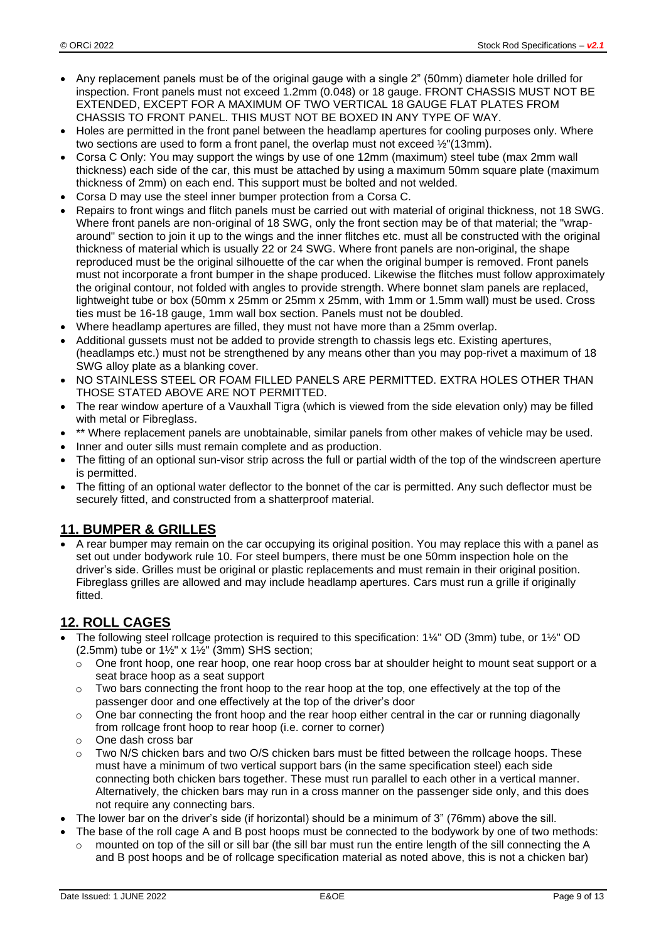- Any replacement panels must be of the original gauge with a single 2" (50mm) diameter hole drilled for inspection. Front panels must not exceed 1.2mm (0.048) or 18 gauge. FRONT CHASSIS MUST NOT BE EXTENDED, EXCEPT FOR A MAXIMUM OF TWO VERTICAL 18 GAUGE FLAT PLATES FROM CHASSIS TO FRONT PANEL. THIS MUST NOT BE BOXED IN ANY TYPE OF WAY.
- Holes are permitted in the front panel between the headlamp apertures for cooling purposes only. Where two sections are used to form a front panel, the overlap must not exceed ½"(13mm).
- Corsa C Only: You may support the wings by use of one 12mm (maximum) steel tube (max 2mm wall thickness) each side of the car, this must be attached by using a maximum 50mm square plate (maximum thickness of 2mm) on each end. This support must be bolted and not welded.
- Corsa D may use the steel inner bumper protection from a Corsa C.
- Repairs to front wings and flitch panels must be carried out with material of original thickness, not 18 SWG. Where front panels are non-original of 18 SWG, only the front section may be of that material; the "wraparound" section to join it up to the wings and the inner flitches etc. must all be constructed with the original thickness of material which is usually 22 or 24 SWG. Where front panels are non-original, the shape reproduced must be the original silhouette of the car when the original bumper is removed. Front panels must not incorporate a front bumper in the shape produced. Likewise the flitches must follow approximately the original contour, not folded with angles to provide strength. Where bonnet slam panels are replaced, lightweight tube or box (50mm x 25mm or 25mm x 25mm, with 1mm or 1.5mm wall) must be used. Cross ties must be 16-18 gauge, 1mm wall box section. Panels must not be doubled.
- Where headlamp apertures are filled, they must not have more than a 25mm overlap.
- Additional gussets must not be added to provide strength to chassis legs etc. Existing apertures, (headlamps etc.) must not be strengthened by any means other than you may pop-rivet a maximum of 18 SWG alloy plate as a blanking cover.
- NO STAINLESS STEEL OR FOAM FILLED PANELS ARE PERMITTED. EXTRA HOLES OTHER THAN THOSE STATED ABOVE ARE NOT PERMITTED.
- The rear window aperture of a Vauxhall Tigra (which is viewed from the side elevation only) may be filled with metal or Fibreglass.
- \*\* Where replacement panels are unobtainable, similar panels from other makes of vehicle may be used.
- Inner and outer sills must remain complete and as production.
- The fitting of an optional sun-visor strip across the full or partial width of the top of the windscreen aperture is permitted.
- The fitting of an optional water deflector to the bonnet of the car is permitted. Any such deflector must be securely fitted, and constructed from a shatterproof material.

### **11. BUMPER & GRILLES**

• A rear bumper may remain on the car occupying its original position. You may replace this with a panel as set out under bodywork rule 10. For steel bumpers, there must be one 50mm inspection hole on the driver's side. Grilles must be original or plastic replacements and must remain in their original position. Fibreglass grilles are allowed and may include headlamp apertures. Cars must run a grille if originally fitted.

# **12. ROLL CAGES**

- The following steel rollcage protection is required to this specification: 1¼" OD (3mm) tube, or 1½" OD (2.5mm) tube or  $1\frac{1}{2}$ " x  $1\frac{1}{2}$ " (3mm) SHS section;
	- o One front hoop, one rear hoop, one rear hoop cross bar at shoulder height to mount seat support or a seat brace hoop as a seat support
	- $\circ$  Two bars connecting the front hoop to the rear hoop at the top, one effectively at the top of the passenger door and one effectively at the top of the driver's door
	- $\circ$  One bar connecting the front hoop and the rear hoop either central in the car or running diagonally from rollcage front hoop to rear hoop (i.e. corner to corner)
	- o One dash cross bar
	- Two N/S chicken bars and two O/S chicken bars must be fitted between the rollcage hoops. These must have a minimum of two vertical support bars (in the same specification steel) each side connecting both chicken bars together. These must run parallel to each other in a vertical manner. Alternatively, the chicken bars may run in a cross manner on the passenger side only, and this does not require any connecting bars.
- The lower bar on the driver's side (if horizontal) should be a minimum of 3" (76mm) above the sill.
- The base of the roll cage A and B post hoops must be connected to the bodywork by one of two methods:
- $\circ$  mounted on top of the sill or sill bar (the sill bar must run the entire length of the sill connecting the A and B post hoops and be of rollcage specification material as noted above, this is not a chicken bar)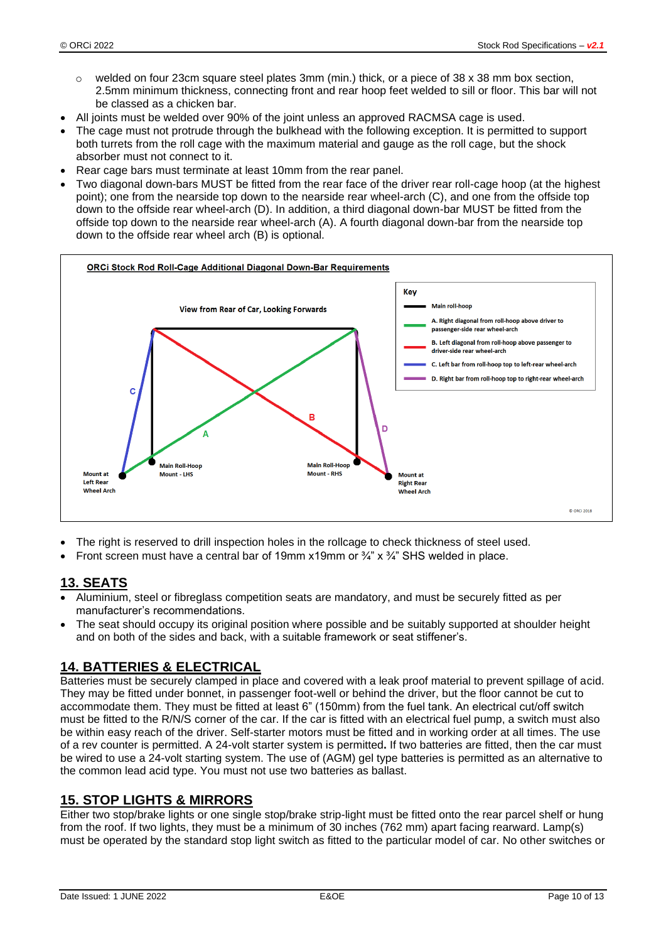- welded on four 23cm square steel plates 3mm (min.) thick, or a piece of 38 x 38 mm box section, 2.5mm minimum thickness, connecting front and rear hoop feet welded to sill or floor. This bar will not be classed as a chicken bar.
- All joints must be welded over 90% of the joint unless an approved RACMSA cage is used.
- The cage must not protrude through the bulkhead with the following exception. It is permitted to support both turrets from the roll cage with the maximum material and gauge as the roll cage, but the shock absorber must not connect to it.
- Rear cage bars must terminate at least 10mm from the rear panel.
- Two diagonal down-bars MUST be fitted from the rear face of the driver rear roll-cage hoop (at the highest point); one from the nearside top down to the nearside rear wheel-arch (C), and one from the offside top down to the offside rear wheel-arch (D). In addition, a third diagonal down-bar MUST be fitted from the offside top down to the nearside rear wheel-arch (A). A fourth diagonal down-bar from the nearside top down to the offside rear wheel arch (B) is optional.



- The right is reserved to drill inspection holes in the rollcage to check thickness of steel used.
- Front screen must have a central bar of 19mm x19mm or  $\frac{3}{4}$ " x  $\frac{3}{4}$ " SHS welded in place.

# **13. SEATS**

- Aluminium, steel or fibreglass competition seats are mandatory, and must be securely fitted as per manufacturer's recommendations.
- The seat should occupy its original position where possible and be suitably supported at shoulder height and on both of the sides and back, with a suitable framework or seat stiffener's.

### **14. BATTERIES & ELECTRICAL**

Batteries must be securely clamped in place and covered with a leak proof material to prevent spillage of acid. They may be fitted under bonnet, in passenger foot-well or behind the driver, but the floor cannot be cut to accommodate them. They must be fitted at least 6" (150mm) from the fuel tank. An electrical cut/off switch must be fitted to the R/N/S corner of the car. If the car is fitted with an electrical fuel pump, a switch must also be within easy reach of the driver. Self-starter motors must be fitted and in working order at all times. The use of a rev counter is permitted. A 24-volt starter system is permitted**.** If two batteries are fitted, then the car must be wired to use a 24-volt starting system. The use of (AGM) gel type batteries is permitted as an alternative to the common lead acid type. You must not use two batteries as ballast.

### **15. STOP LIGHTS & MIRRORS**

Either two stop/brake lights or one single stop/brake strip-light must be fitted onto the rear parcel shelf or hung from the roof. If two lights, they must be a minimum of 30 inches (762 mm) apart facing rearward. Lamp(s) must be operated by the standard stop light switch as fitted to the particular model of car. No other switches or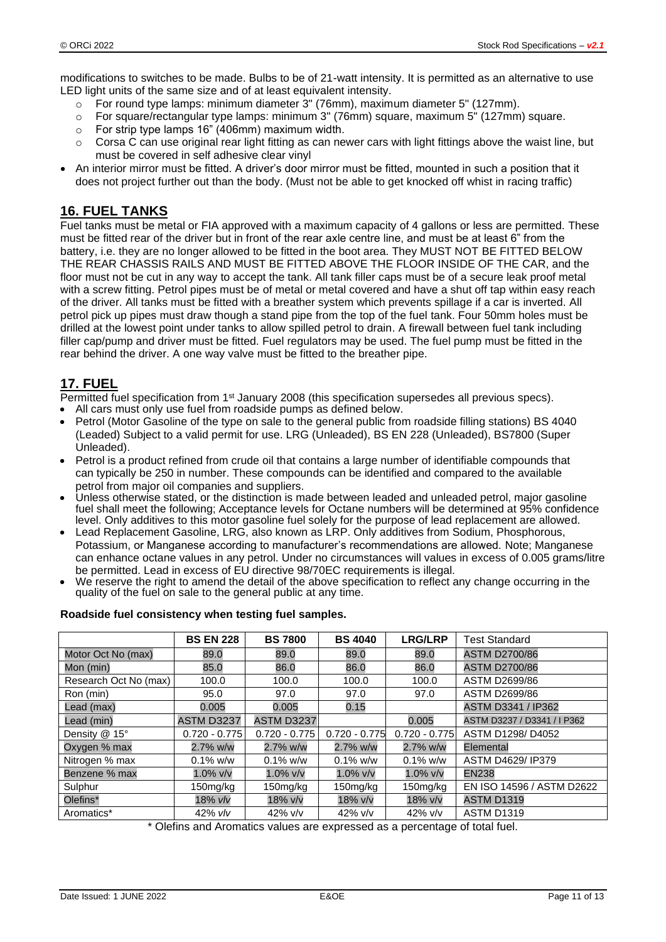modifications to switches to be made. Bulbs to be of 21-watt intensity. It is permitted as an alternative to use LED light units of the same size and of at least equivalent intensity.

- o For round type lamps: minimum diameter 3" (76mm), maximum diameter 5" (127mm).
- o For square/rectangular type lamps: minimum 3" (76mm) square, maximum 5" (127mm) square.
- o For strip type lamps 16" (406mm) maximum width.
- $\circ$  Corsa C can use original rear light fitting as can newer cars with light fittings above the waist line, but must be covered in self adhesive clear vinyl
- An interior mirror must be fitted. A driver's door mirror must be fitted, mounted in such a position that it does not project further out than the body. (Must not be able to get knocked off whist in racing traffic)

### **16. FUEL TANKS**

Fuel tanks must be metal or FIA approved with a maximum capacity of 4 gallons or less are permitted. These must be fitted rear of the driver but in front of the rear axle centre line, and must be at least 6" from the battery, i.e. they are no longer allowed to be fitted in the boot area. They MUST NOT BE FITTED BELOW THE REAR CHASSIS RAILS AND MUST BE FITTED ABOVE THE FLOOR INSIDE OF THE CAR, and the floor must not be cut in any way to accept the tank. All tank filler caps must be of a secure leak proof metal with a screw fitting. Petrol pipes must be of metal or metal covered and have a shut off tap within easy reach of the driver. All tanks must be fitted with a breather system which prevents spillage if a car is inverted. All petrol pick up pipes must draw though a stand pipe from the top of the fuel tank. Four 50mm holes must be drilled at the lowest point under tanks to allow spilled petrol to drain. A firewall between fuel tank including filler cap/pump and driver must be fitted. Fuel regulators may be used. The fuel pump must be fitted in the rear behind the driver. A one way valve must be fitted to the breather pipe.

# **17. FUEL**

Permitted fuel specification from 1<sup>st</sup> January 2008 (this specification supersedes all previous specs).

- All cars must only use fuel from roadside pumps as defined below.
- Petrol (Motor Gasoline of the type on sale to the general public from roadside filling stations) BS 4040 (Leaded) Subject to a valid permit for use. LRG (Unleaded), BS EN 228 (Unleaded), BS7800 (Super Unleaded).
- Petrol is a product refined from crude oil that contains a large number of identifiable compounds that can typically be 250 in number. These compounds can be identified and compared to the available petrol from major oil companies and suppliers.
- Unless otherwise stated, or the distinction is made between leaded and unleaded petrol, major gasoline fuel shall meet the following; Acceptance levels for Octane numbers will be determined at 95% confidence level. Only additives to this motor gasoline fuel solely for the purpose of lead replacement are allowed.
- Lead Replacement Gasoline, LRG, also known as LRP. Only additives from Sodium, Phosphorous, Potassium, or Manganese according to manufacturer's recommendations are allowed. Note; Manganese can enhance octane values in any petrol. Under no circumstances will values in excess of 0.005 grams/litre be permitted. Lead in excess of EU directive 98/70EC requirements is illegal.
- We reserve the right to amend the detail of the above specification to reflect any change occurring in the quality of the fuel on sale to the general public at any time.

|                       | <b>BS EN 228</b> | <b>BS 7800</b>  | <b>BS 4040</b>  | <b>LRG/LRP</b>  | <b>Test Standard</b>        |
|-----------------------|------------------|-----------------|-----------------|-----------------|-----------------------------|
| Motor Oct No (max)    | 89.0             | 89.0            | 89.0            | 89.0            | <b>ASTM D2700/86</b>        |
| Mon (min)             | 85.0             | 86.0            | 86.0            | 86.0            | <b>ASTM D2700/86</b>        |
| Research Oct No (max) | 100.0            | 100.0           | 100.0           | 100.0           | ASTM D2699/86               |
| Ron (min)             | 95.0             | 97.0            | 97.0            | 97.0            | ASTM D2699/86               |
| Lead (max)            | 0.005            | 0.005           | 0.15            |                 | ASTM D3341 / IP362          |
| Lead (min)            | ASTM D3237       | ASTM D3237      |                 | 0.005           | ASTM D3237 / D3341 / I P362 |
| Density @ 15°         | $0.720 - 0.775$  | $0.720 - 0.775$ | $0.720 - 0.775$ | $0.720 - 0.775$ | ASTM D1298/D4052            |
| Oxygen % max          | 2.7% w/w         | 2.7% w/w        | 2.7% w/w        | 2.7% w/w        | Elemental                   |
| Nitrogen % max        | $0.1\%$ w/w      | $0.1\%$ w/w     | $0.1\%$ w/w     | $0.1\%$ w/w     | ASTM D4629/ IP379           |
| Benzene % max         | $1.0\%$ v/v      | $1.0\%$ v/v     | $1.0\%$ v/v     | $1.0\%$ v/v     | <b>EN238</b>                |
| Sulphur               | 150mg/kg         | $150$ mg/kg     | 150mg/kg        | 150mg/kg        | EN ISO 14596 / ASTM D2622   |
| Olefins*              | 18% vlv          | 18% v/v         | 18% v/v         | 18% v/v         | <b>ASTM D1319</b>           |
| Aromatics*            | 42% vlv          | $42\%$ v/v      | $42\%$ v/v      | $42\%$ v/v      | <b>ASTM D1319</b>           |

#### **Roadside fuel consistency when testing fuel samples.**

\* Olefins and Aromatics values are expressed as a percentage of total fuel.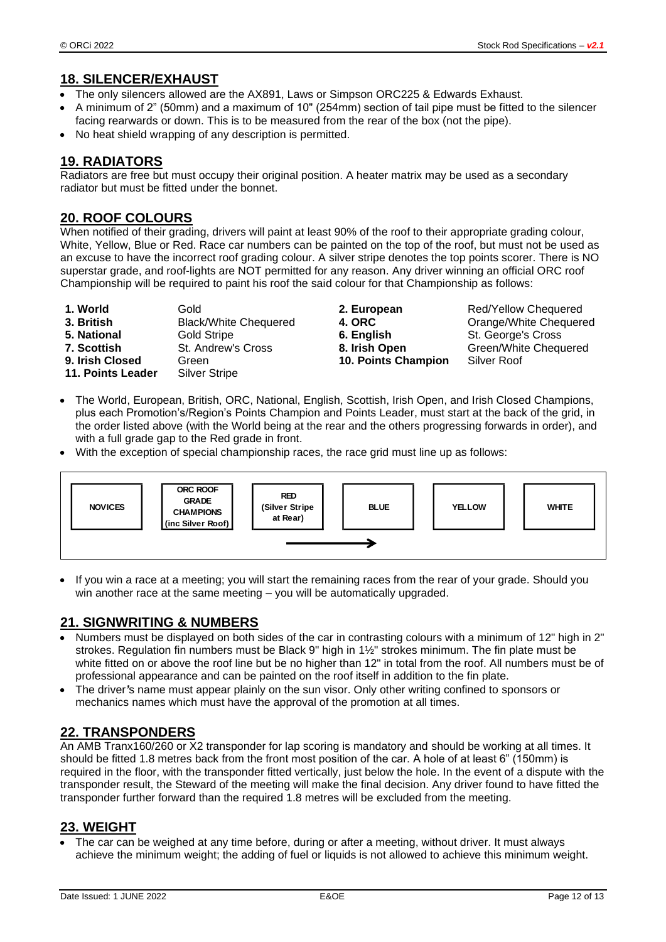### **18. SILENCER/EXHAUST**

- The only silencers allowed are the AX891, Laws or Simpson ORC225 & Edwards Exhaust.
- A minimum of 2" (50mm) and a maximum of 10" (254mm) section of tail pipe must be fitted to the silencer facing rearwards or down. This is to be measured from the rear of the box (not the pipe).
- No heat shield wrapping of any description is permitted.

### **19. RADIATORS**

Radiators are free but must occupy their original position. A heater matrix may be used as a secondary radiator but must be fitted under the bonnet.

### **20. ROOF COLOURS**

When notified of their grading, drivers will paint at least 90% of the roof to their appropriate grading colour, White, Yellow, Blue or Red. Race car numbers can be painted on the top of the roof, but must not be used as an excuse to have the incorrect roof grading colour. A silver stripe denotes the top points scorer. There is NO superstar grade, and roof-lights are NOT permitted for any reason. Any driver winning an official ORC roof Championship will be required to paint his roof the said colour for that Championship as follows:

**1. World 3. European 2. European** Red/Yellow Chequered **3. British** Black/White Chequered **4. ORC** Orange/White Chequered **5. National** Gold Stripe **6. English** St. George's Cross<br> **5. Scottish** St. Andrew's Cross **8. Irish Open** Green/White Chequen **9. Irish Closed** Green **10. Points Champion** Silver Roof **11. Points Leader** Silver Stripe

**7. Scottish** St. Andrew's Cross **8. Irish Open** Green/White Chequered

- The World, European, British, ORC, National, English, Scottish, Irish Open, and Irish Closed Champions, plus each Promotion's/Region's Points Champion and Points Leader, must start at the back of the grid, in the order listed above (with the World being at the rear and the others progressing forwards in order), and with a full grade gap to the Red grade in front.
- With the exception of special championship races, the race grid must line up as follows:



• If you win a race at a meeting; you will start the remaining races from the rear of your grade. Should you win another race at the same meeting – you will be automatically upgraded.

### **21. SIGNWRITING & NUMBERS**

- Numbers must be displayed on both sides of the car in contrasting colours with a minimum of 12" high in 2" strokes. Regulation fin numbers must be Black 9" high in 1½" strokes minimum. The fin plate must be white fitted on or above the roof line but be no higher than 12" in total from the roof. All numbers must be of professional appearance and can be painted on the roof itself in addition to the fin plate.
- The driver*'*s name must appear plainly on the sun visor. Only other writing confined to sponsors or mechanics names which must have the approval of the promotion at all times.

### **22. TRANSPONDERS**

An AMB Tranx160/260 or X2 transponder for lap scoring is mandatory and should be working at all times. It should be fitted 1.8 metres back from the front most position of the car. A hole of at least 6" (150mm) is required in the floor, with the transponder fitted vertically, just below the hole. In the event of a dispute with the transponder result, the Steward of the meeting will make the final decision. Any driver found to have fitted the transponder further forward than the required 1.8 metres will be excluded from the meeting.

#### **23. WEIGHT**

The car can be weighed at any time before, during or after a meeting, without driver. It must always achieve the minimum weight; the adding of fuel or liquids is not allowed to achieve this minimum weight.